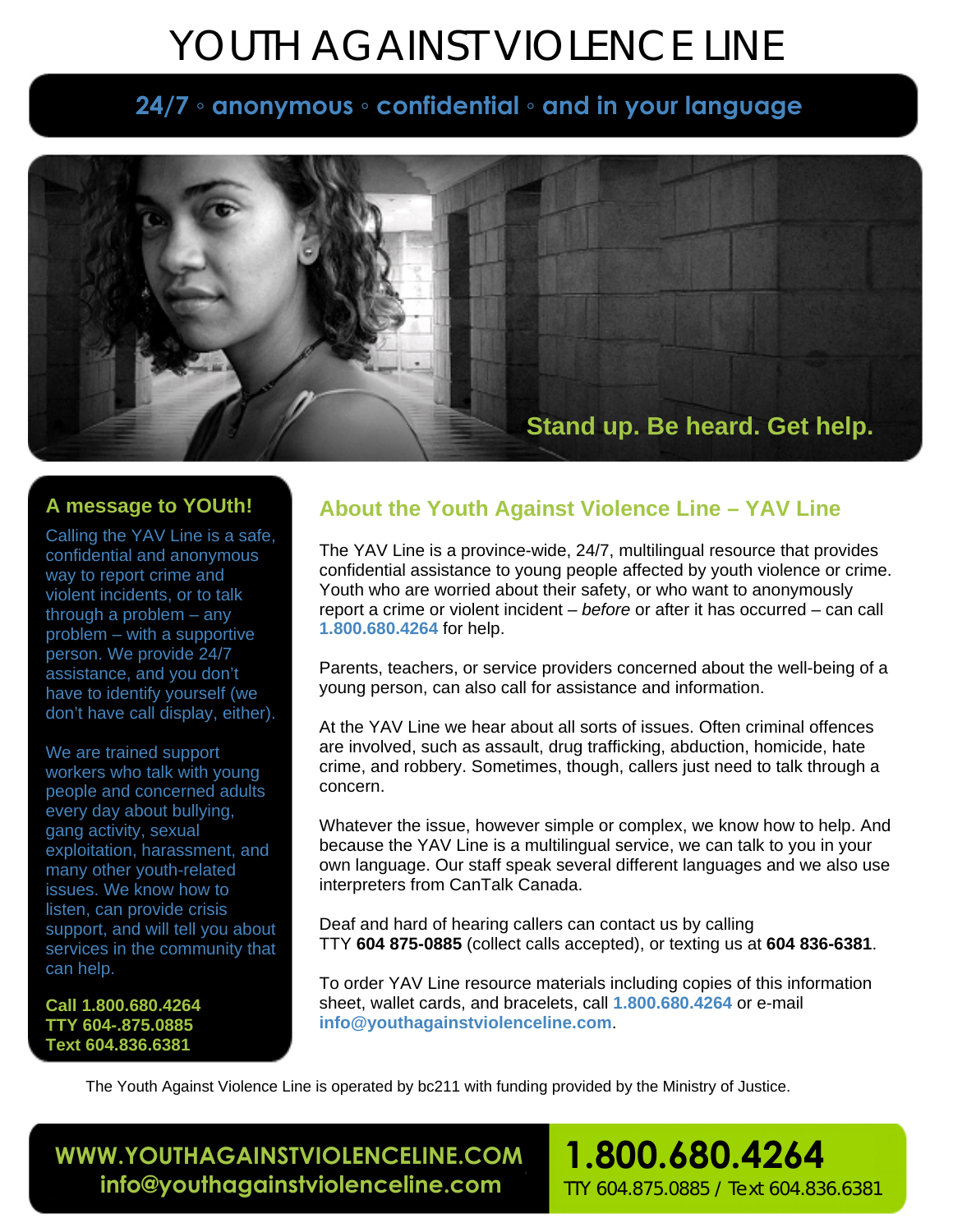# YOUTH AGAINST VIOLENCE LINE

# **24/7 ◦ anonymous ◦ confidential ◦ and in your language**



### **A message to YOUth!**

Calling the YAV Line is a safe, confidential and anonymous way to report crime and violent incidents, or to talk through a problem – any problem – with a supportive person. We provide 24/7 assistance, and you don't have to identify yourself (we don't have call display, either).

We are trained support workers who talk with young people and concerned adults every day about bullying, gang activity, sexual exploitation, harassment, and many other youth-related issues. We know how to listen, can provide crisis support, and will tell you about services in the community that can help.

**Call 1.800.680.4264 TTY 604-.875.0885 Text 604.836.6381** 

# **About the Youth Against Violence Line – YAV Line**

The YAV Line is a province-wide, 24/7, multilingual resource that provides confidential assistance to young people affected by youth violence or crime. Youth who are worried about their safety, or who want to anonymously report a crime or violent incident – *before* or after it has occurred – can call **1.800.680.4264** for help.

Parents, teachers, or service providers concerned about the well-being of a young person, can also call for assistance and information.

At the YAV Line we hear about all sorts of issues. Often criminal offences are involved, such as assault, drug trafficking, abduction, homicide, hate crime, and robbery. Sometimes, though, callers just need to talk through a concern.

Whatever the issue, however simple or complex, we know how to help. And because the YAV Line is a multilingual service, we can talk to you in your own language. Our staff speak several different languages and we also use interpreters from CanTalk Canada.

Deaf and hard of hearing callers can contact us by calling TTY **604 875-0885** (collect calls accepted), or texting us at **604 836-6381**.

To order YAV Line resource materials including copies of this information sheet, wallet cards, and bracelets, call **1.800.680.4264** or e-mail **info@youthagainstviolenceline.com**.

**1.800.680.4264** 

TTY 604.875.0885 / Text 604.836.6381

The Youth Against Violence Line is operated by bc211 with funding provided by the Ministry of Justice.

 **WWW.YOUTHAGAINSTVIOLENCELINE.COM info@youthagainstviolenceline.com**